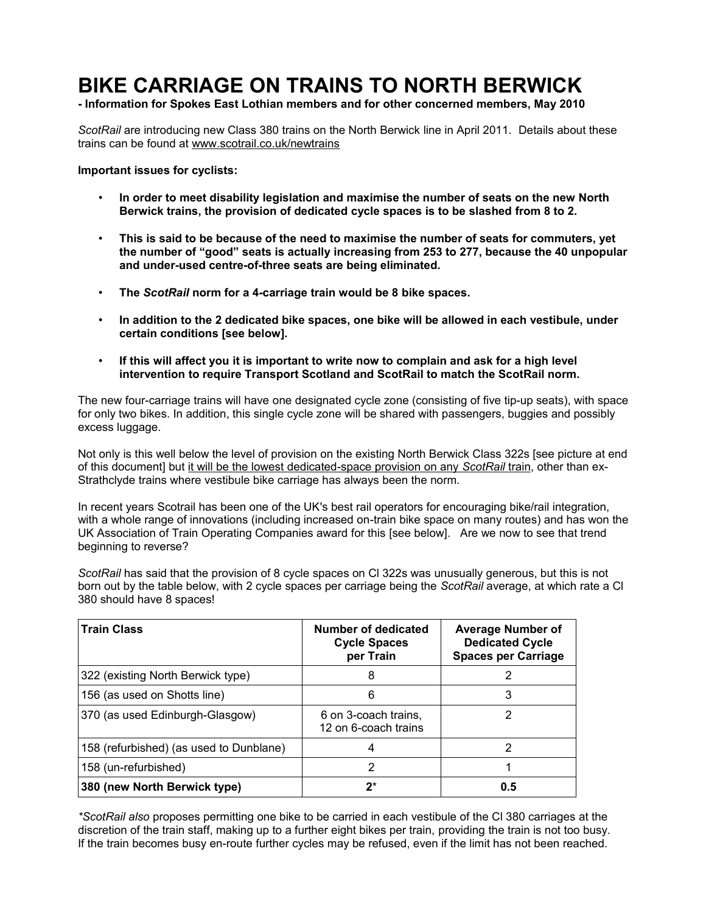# **BIKE CARRIAGE ON TRAINS TO NORTH BERWICK**

**- Information for Spokes East Lothian members and for other concerned members, May 2010**

*ScotRail* are introducing new Class 380 trains on the North Berwick line in April 2011. Details about these trains can be found at [www.scotrail.co.uk/newtrains](http://www.scotrail.co.uk/newtrains)

**Important issues for cyclists:**

- **In order to meet disability legislation and maximise the number of seats on the new North Berwick trains, the provision of dedicated cycle spaces is to be slashed from 8 to 2.**
- **This is said to be because of the need to maximise the number of seats for commuters, yet the number of "good" seats is actually increasing from 253 to 277, because the 40 unpopular and under-used centre-of-three seats are being eliminated.**
- **The** *ScotRail* **norm for a 4-carriage train would be 8 bike spaces.**
- **In addition to the 2 dedicated bike spaces, one bike will be allowed in each vestibule, under certain conditions [see below].**
- **If this will affect you it is important to write now to complain and ask for a high level intervention to require Transport Scotland and ScotRail to match the ScotRail norm.**

The new four-carriage trains will have one designated cycle zone (consisting of five tip-up seats), with space for only two bikes. In addition, this single cycle zone will be shared with passengers, buggies and possibly excess luggage.

Not only is this well below the level of provision on the existing North Berwick Class 322s [see picture at end of this document] but it will be the lowest dedicated-space provision on any *ScotRail* train, other than ex-Strathclyde trains where vestibule bike carriage has always been the norm.

In recent years Scotrail has been one of the UK's best rail operators for encouraging bike/rail integration, with a whole range of innovations (including increased on-train bike space on many routes) and has won the UK Association of Train Operating Companies award for this [see below]. Are we now to see that trend beginning to reverse?

*ScotRail* has said that the provision of 8 cycle spaces on Cl 322s was unusually generous, but this is not born out by the table below, with 2 cycle spaces per carriage being the *ScotRail* average, at which rate a Cl 380 should have 8 spaces!

| <b>Train Class</b>                      | Number of dedicated<br><b>Cycle Spaces</b><br>per Train | <b>Average Number of</b><br><b>Dedicated Cycle</b><br><b>Spaces per Carriage</b> |
|-----------------------------------------|---------------------------------------------------------|----------------------------------------------------------------------------------|
| 322 (existing North Berwick type)       | 8                                                       |                                                                                  |
| 156 (as used on Shotts line)            | 6                                                       | 3                                                                                |
| 370 (as used Edinburgh-Glasgow)         | 6 on 3-coach trains,<br>12 on 6-coach trains            |                                                                                  |
| 158 (refurbished) (as used to Dunblane) |                                                         |                                                                                  |
| 158 (un-refurbished)                    | 2                                                       |                                                                                  |
| 380 (new North Berwick type)            | $2^*$                                                   | 0.5                                                                              |

*\*ScotRail also* proposes permitting one bike to be carried in each vestibule of the Cl 380 carriages at the discretion of the train staff, making up to a further eight bikes per train, providing the train is not too busy. If the train becomes busy en-route further cycles may be refused, even if the limit has not been reached.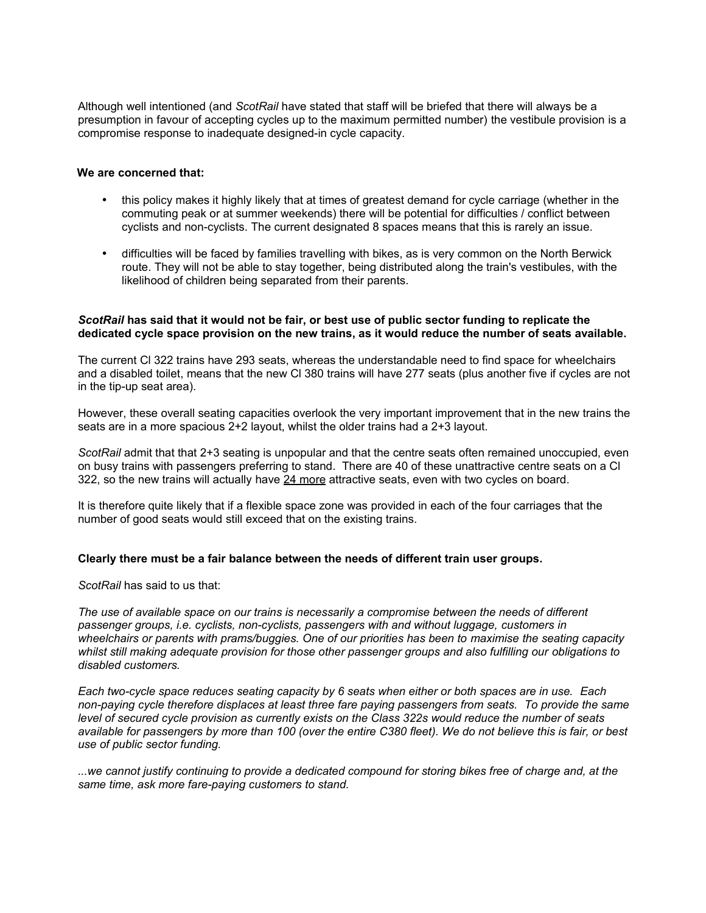Although well intentioned (and *ScotRail* have stated that staff will be briefed that there will always be a presumption in favour of accepting cycles up to the maximum permitted number) the vestibule provision is a compromise response to inadequate designed-in cycle capacity.

#### **We are concerned that:**

- this policy makes it highly likely that at times of greatest demand for cycle carriage (whether in the commuting peak or at summer weekends) there will be potential for difficulties / conflict between cyclists and non-cyclists. The current designated 8 spaces means that this is rarely an issue.
- difficulties will be faced by families travelling with bikes, as is very common on the North Berwick route. They will not be able to stay together, being distributed along the train's vestibules, with the likelihood of children being separated from their parents.

#### *ScotRail* **has said that it would not be fair, or best use of public sector funding to replicate the dedicated cycle space provision on the new trains, as it would reduce the number of seats available.**

The current Cl 322 trains have 293 seats, whereas the understandable need to find space for wheelchairs and a disabled toilet, means that the new Cl 380 trains will have 277 seats (plus another five if cycles are not in the tip-up seat area).

However, these overall seating capacities overlook the very important improvement that in the new trains the seats are in a more spacious 2+2 layout, whilst the older trains had a 2+3 layout.

*ScotRail* admit that that 2+3 seating is unpopular and that the centre seats often remained unoccupied, even on busy trains with passengers preferring to stand. There are 40 of these unattractive centre seats on a Cl 322, so the new trains will actually have 24 more attractive seats, even with two cycles on board.

It is therefore quite likely that if a flexible space zone was provided in each of the four carriages that the number of good seats would still exceed that on the existing trains.

#### **Clearly there must be a fair balance between the needs of different train user groups.**

*ScotRail* has said to us that:

*The use of available space on our trains is necessarily a compromise between the needs of different passenger groups, i.e. cyclists, non-cyclists, passengers with and without luggage, customers in wheelchairs or parents with prams/buggies. One of our priorities has been to maximise the seating capacity whilst still making adequate provision for those other passenger groups and also fulfilling our obligations to disabled customers.*

*Each two-cycle space reduces seating capacity by 6 seats when either or both spaces are in use. Each non-paying cycle therefore displaces at least three fare paying passengers from seats. To provide the same level of secured cycle provision as currently exists on the Class 322s would reduce the number of seats available for passengers by more than 100 (over the entire C380 fleet). We do not believe this is fair, or best use of public sector funding.* 

*...we cannot justify continuing to provide a dedicated compound for storing bikes free of charge and, at the same time, ask more fare-paying customers to stand.*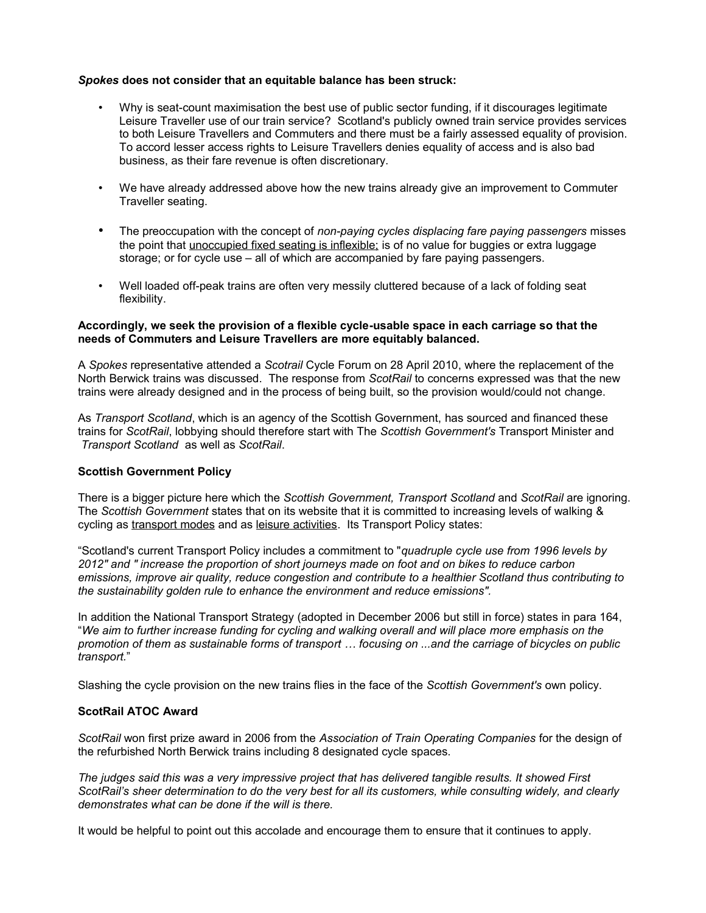#### *Spokes* **does not consider that an equitable balance has been struck:**

- Why is seat-count maximisation the best use of public sector funding, if it discourages legitimate Leisure Traveller use of our train service? Scotland's publicly owned train service provides services to both Leisure Travellers and Commuters and there must be a fairly assessed equality of provision. To accord lesser access rights to Leisure Travellers denies equality of access and is also bad business, as their fare revenue is often discretionary.
- We have already addressed above how the new trains already give an improvement to Commuter Traveller seating.
- The preoccupation with the concept of *non-paying cycles displacing fare paying passengers* misses the point that unoccupied fixed seating is inflexible; is of no value for buggies or extra luggage storage; or for cycle use – all of which are accompanied by fare paying passengers.
- Well loaded off-peak trains are often very messily cluttered because of a lack of folding seat flexibility.

#### **Accordingly, we seek the provision of a flexible cycle-usable space in each carriage so that the needs of Commuters and Leisure Travellers are more equitably balanced.**

A *Spokes* representative attended a *Scotrail* Cycle Forum on 28 April 2010, where the replacement of the North Berwick trains was discussed. The response from *ScotRail* to concerns expressed was that the new trains were already designed and in the process of being built, so the provision would/could not change.

As *Transport Scotland*, which is an agency of the Scottish Government, has sourced and financed these trains for *ScotRail*, lobbying should therefore start with The *Scottish Government's* Transport Minister and *Transport Scotland* as well as *ScotRail*.

#### **Scottish Government Policy**

There is a bigger picture here which the *Scottish Government, Transport Scotland* and *ScotRail* are ignoring. The *Scottish Government* states that on its website that it is committed to increasing levels of walking & cycling as transport modes and as leisure activities. Its Transport Policy states:

"Scotland's current Transport Policy includes a commitment to "*quadruple cycle use from 1996 levels by 2012" and " increase the proportion of short journeys made on foot and on bikes to reduce carbon emissions, improve air quality, reduce congestion and contribute to a healthier Scotland thus contributing to the sustainability golden rule to enhance the environment and reduce emissions".*

In addition the National Transport Strategy (adopted in December 2006 but still in force) states in para 164, "*We aim to further increase funding for cycling and walking overall and will place more emphasis on the promotion of them as sustainable forms of transport … focusing on ...and the carriage of bicycles on public transport.*"

Slashing the cycle provision on the new trains flies in the face of the *Scottish Government's* own policy.

### **ScotRail ATOC Award**

*ScotRail* won first prize award in 2006 from the *Association of Train Operating Companies* for the design of the refurbished North Berwick trains including 8 designated cycle spaces.

*The judges said this was a very impressive project that has delivered tangible results. It showed First ScotRail's sheer determination to do the very best for all its customers, while consulting widely, and clearly demonstrates what can be done if the will is there.*

It would be helpful to point out this accolade and encourage them to ensure that it continues to apply.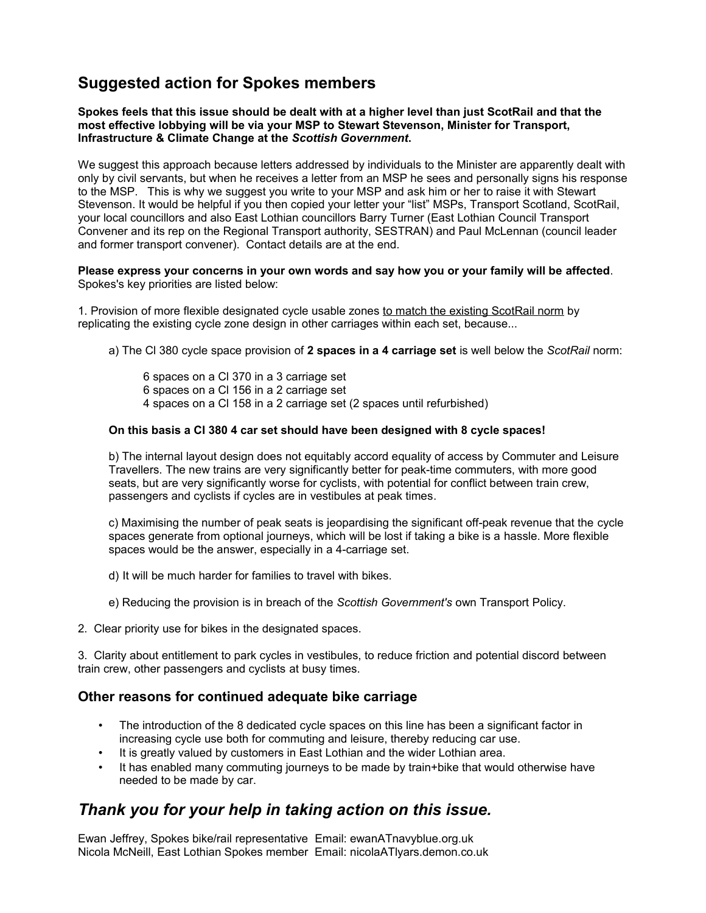# **Suggested action for Spokes members**

#### **Spokes feels that this issue should be dealt with at a higher level than just ScotRail and that the most effective lobbying will be via your MSP to Stewart Stevenson, Minister for Transport, Infrastructure & Climate Change at the** *Scottish Government***.**

We suggest this approach because letters addressed by individuals to the Minister are apparently dealt with only by civil servants, but when he receives a letter from an MSP he sees and personally signs his response to the MSP. This is why we suggest you write to your MSP and ask him or her to raise it with Stewart Stevenson. It would be helpful if you then copied your letter your "list" MSPs, Transport Scotland, ScotRail, your local councillors and also East Lothian councillors Barry Turner (East Lothian Council Transport Convener and its rep on the Regional Transport authority, SESTRAN) and Paul McLennan (council leader and former transport convener). Contact details are at the end.

#### **Please express your concerns in your own words and say how you or your family will be affected**. Spokes's key priorities are listed below:

1. Provision of more flexible designated cycle usable zones to match the existing ScotRail norm by replicating the existing cycle zone design in other carriages within each set, because...

a) The Cl 380 cycle space provision of **2 spaces in a 4 carriage set** is well below the *ScotRail* norm:

6 spaces on a Cl 370 in a 3 carriage set 6 spaces on a Cl 156 in a 2 carriage set 4 spaces on a Cl 158 in a 2 carriage set (2 spaces until refurbished)

#### **On this basis a Cl 380 4 car set should have been designed with 8 cycle spaces!**

b) The internal layout design does not equitably accord equality of access by Commuter and Leisure Travellers. The new trains are very significantly better for peak-time commuters, with more good seats, but are very significantly worse for cyclists, with potential for conflict between train crew, passengers and cyclists if cycles are in vestibules at peak times.

c) Maximising the number of peak seats is jeopardising the significant off-peak revenue that the cycle spaces generate from optional journeys, which will be lost if taking a bike is a hassle. More flexible spaces would be the answer, especially in a 4-carriage set.

d) It will be much harder for families to travel with bikes.

e) Reducing the provision is in breach of the *Scottish Government's* own Transport Policy.

2. Clear priority use for bikes in the designated spaces.

3. Clarity about entitlement to park cycles in vestibules, to reduce friction and potential discord between train crew, other passengers and cyclists at busy times.

# **Other reasons for continued adequate bike carriage**

- The introduction of the 8 dedicated cycle spaces on this line has been a significant factor in increasing cycle use both for commuting and leisure, thereby reducing car use.
- It is greatly valued by customers in East Lothian and the wider Lothian area.
- It has enabled many commuting journeys to be made by train+bike that would otherwise have needed to be made by car.

# *Thank you for your help in taking action on this issue.*

Ewan Jeffrey, Spokes bike/rail representative Email: ewanATnavyblue.org.uk Nicola McNeill, East Lothian Spokes member Email: nicolaATlyars.demon.co.uk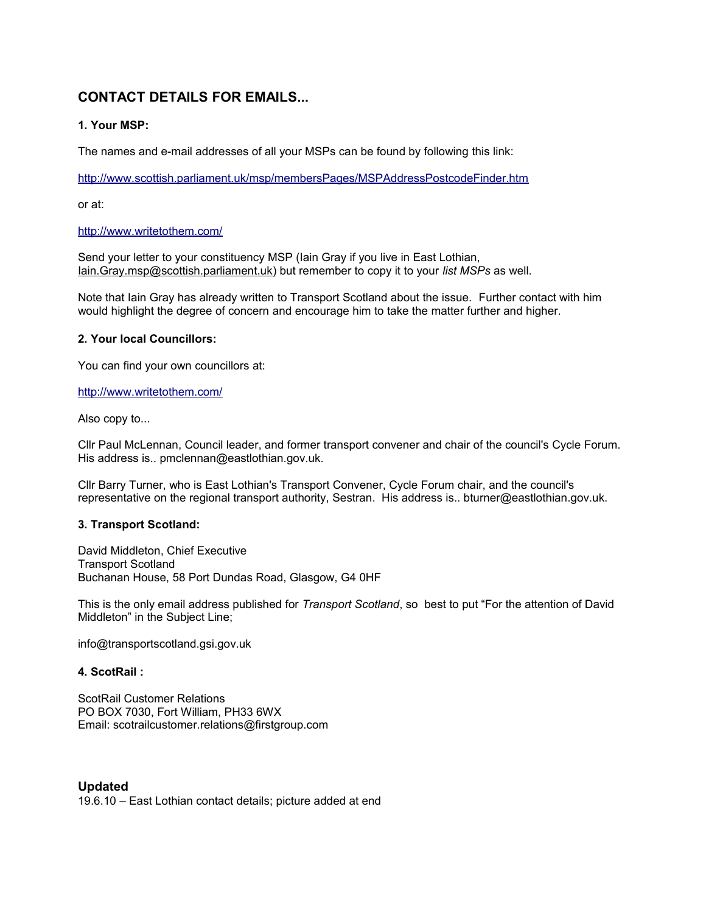# **CONTACT DETAILS FOR EMAILS...**

# **1. Your MSP:**

The names and e-mail addresses of all your MSPs can be found by following this link:

<http://www.scottish.parliament.uk/msp/membersPages/MSPAddressPostcodeFinder.htm>

or at:

### <http://www.writetothem.com/>

Send your letter to your constituency MSP (Iain Gray if you live in East Lothian, [Iain.Gray.msp@scottish.parliament.uk\)](mailto:Iain.Gray.msp@scottish.parliament.uk) but remember to copy it to your *list MSPs* as well.

Note that Iain Gray has already written to Transport Scotland about the issue. Further contact with him would highlight the degree of concern and encourage him to take the matter further and higher.

### **2. Your local Councillors:**

You can find your own councillors at:

#### <http://www.writetothem.com/>

Also copy to...

Cllr Paul McLennan, Council leader, and former transport convener and chair of the council's Cycle Forum. His address is.. pmclennan@eastlothian.gov.uk.

Cllr Barry Turner, who is East Lothian's Transport Convener, Cycle Forum chair, and the council's representative on the regional transport authority, Sestran. His address is.. bturner@eastlothian.gov.uk.

# **3. Transport Scotland:**

David Middleton, Chief Executive Transport Scotland Buchanan House, 58 Port Dundas Road, Glasgow, G4 0HF

This is the only email address published for *Transport Scotland*, so best to put "For the attention of David Middleton" in the Subject Line;

info@transportscotland.gsi.gov.uk

# **4. ScotRail :**

ScotRail Customer Relations PO BOX 7030, Fort William, PH33 6WX Email: scotrailcustomer.relations@firstgroup.com

**Updated** 19.6.10 – East Lothian contact details; picture added at end